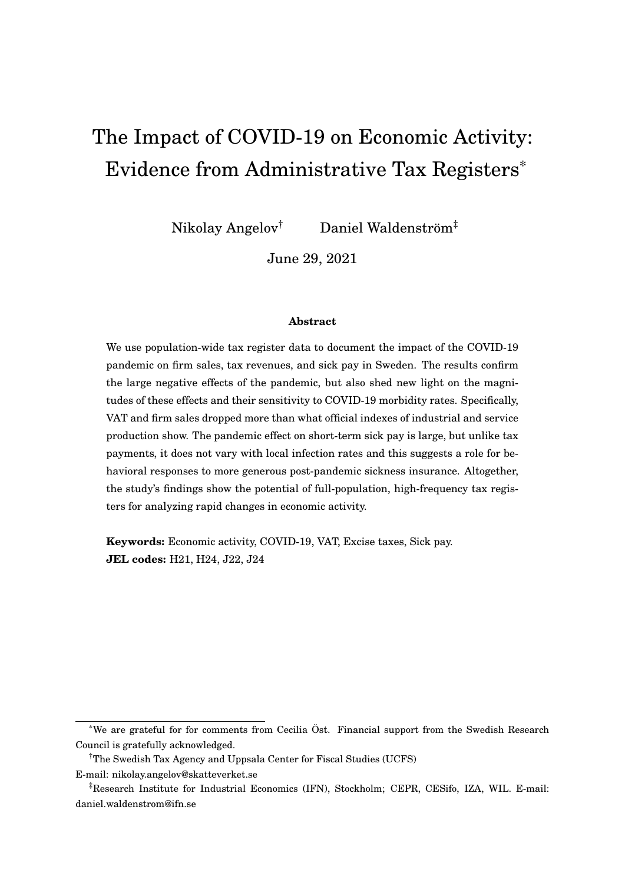# <span id="page-0-0"></span>The Impact of COVID-19 on Economic Activity: Evidence from Administrative Tax Registers\*

Nikolay Angelov† Daniel Waldenström‡

June 29, 2021

#### **Abstract**

We use population-wide tax register data to document the impact of the COVID-19 pandemic on firm sales, tax revenues, and sick pay in Sweden. The results confirm the large negative effects of the pandemic, but also shed new light on the magnitudes of these effects and their sensitivity to COVID-19 morbidity rates. Specifically, VAT and firm sales dropped more than what official indexes of industrial and service production show. The pandemic effect on short-term sick pay is large, but unlike tax payments, it does not vary with local infection rates and this suggests a role for behavioral responses to more generous post-pandemic sickness insurance. Altogether, the study's findings show the potential of full-population, high-frequency tax registers for analyzing rapid changes in economic activity.

**Keywords:** Economic activity, COVID-19, VAT, Excise taxes, Sick pay. **JEL codes:** H21, H24, J22, J24

<sup>\*</sup>We are grateful for for comments from Cecilia Öst. Financial support from the Swedish Research Council is gratefully acknowledged.

<sup>†</sup>The Swedish Tax Agency and Uppsala Center for Fiscal Studies (UCFS)

E-mail: nikolay.angelov@skatteverket.se

<sup>‡</sup>Research Institute for Industrial Economics (IFN), Stockholm; CEPR, CESifo, IZA, WIL. E-mail: daniel.waldenstrom@ifn.se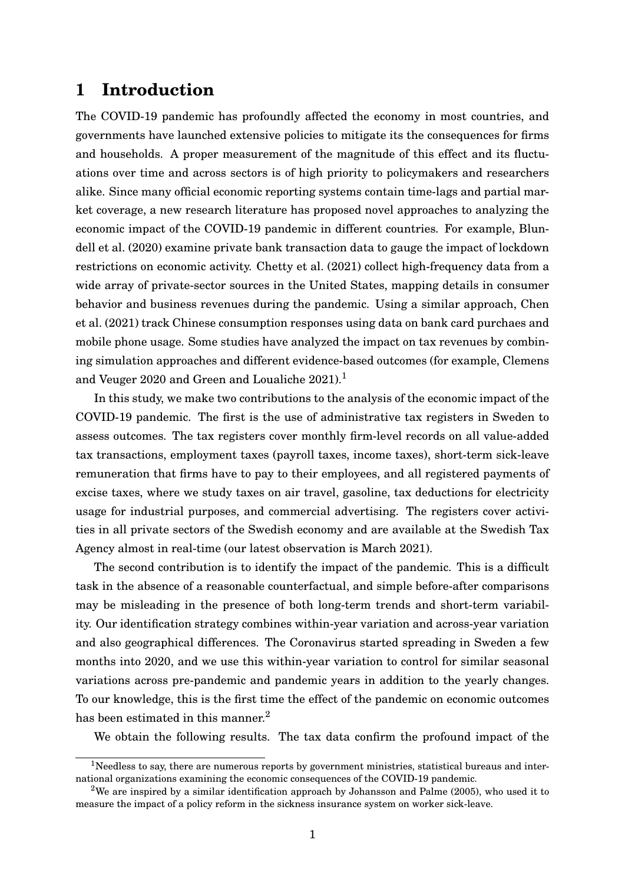## **1 Introduction**

The COVID-19 pandemic has profoundly affected the economy in most countries, and governments have launched extensive policies to mitigate its the consequences for firms and households. A proper measurement of the magnitude of this effect and its fluctuations over time and across sectors is of high priority to policymakers and researchers alike. Since many official economic reporting systems contain time-lags and partial market coverage, a new research literature has proposed novel approaches to analyzing the economic impact of the COVID-19 pandemic in different countries. For example, [Blun](#page-23-0)[dell et al.](#page-23-0) [\(2020\)](#page-23-0) examine private bank transaction data to gauge the impact of lockdown restrictions on economic activity. [Chetty et al.](#page-23-1) [\(2021\)](#page-23-1) collect high-frequency data from a wide array of private-sector sources in the United States, mapping details in consumer behavior and business revenues during the pandemic. Using a similar approach, [Chen](#page-23-2) [et al.](#page-23-2) [\(2021\)](#page-23-2) track Chinese consumption responses using data on bank card purchaes and mobile phone usage. Some studies have analyzed the impact on tax revenues by combining simulation approaches and different evidence-based outcomes (for example, [Clemens](#page-23-3) [and Veuger 2020](#page-23-3) and [Green and Loualiche 2021\)](#page-23-4).<sup>[1](#page-0-0)</sup>

In this study, we make two contributions to the analysis of the economic impact of the COVID-19 pandemic. The first is the use of administrative tax registers in Sweden to assess outcomes. The tax registers cover monthly firm-level records on all value-added tax transactions, employment taxes (payroll taxes, income taxes), short-term sick-leave remuneration that firms have to pay to their employees, and all registered payments of excise taxes, where we study taxes on air travel, gasoline, tax deductions for electricity usage for industrial purposes, and commercial advertising. The registers cover activities in all private sectors of the Swedish economy and are available at the Swedish Tax Agency almost in real-time (our latest observation is March 2021).

The second contribution is to identify the impact of the pandemic. This is a difficult task in the absence of a reasonable counterfactual, and simple before-after comparisons may be misleading in the presence of both long-term trends and short-term variability. Our identification strategy combines within-year variation and across-year variation and also geographical differences. The Coronavirus started spreading in Sweden a few months into 2020, and we use this within-year variation to control for similar seasonal variations across pre-pandemic and pandemic years in addition to the yearly changes. To our knowledge, this is the first time the effect of the pandemic on economic outcomes has been estimated in this manner.<sup>[2](#page-0-0)</sup>

We obtain the following results. The tax data confirm the profound impact of the

 $1$ Needless to say, there are numerous reports by government ministries, statistical bureaus and international organizations examining the economic consequences of the COVID-19 pandemic.

<sup>&</sup>lt;sup>2</sup>We are inspired by a similar identification approach by [Johansson and Palme](#page-23-5) [\(2005\)](#page-23-5), who used it to measure the impact of a policy reform in the sickness insurance system on worker sick-leave.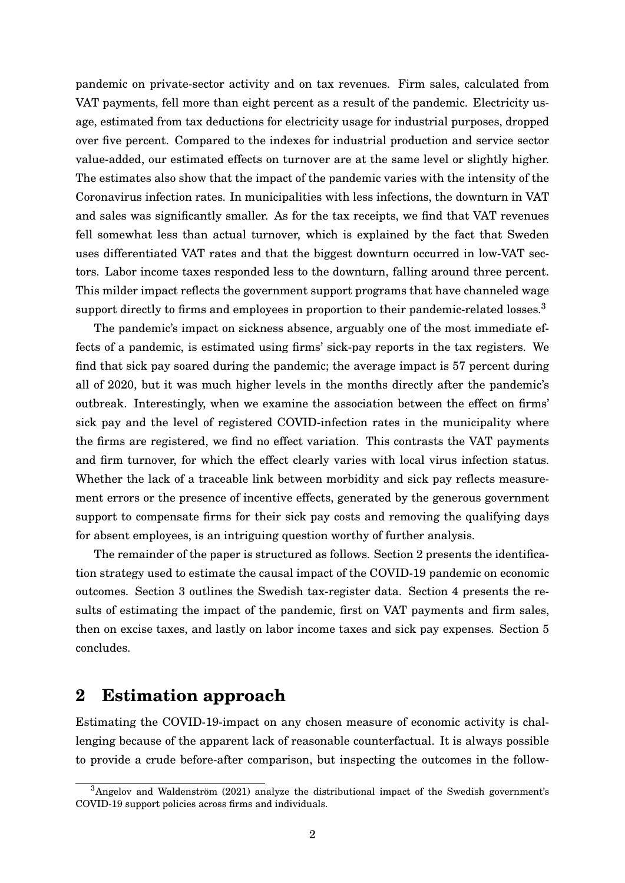pandemic on private-sector activity and on tax revenues. Firm sales, calculated from VAT payments, fell more than eight percent as a result of the pandemic. Electricity usage, estimated from tax deductions for electricity usage for industrial purposes, dropped over five percent. Compared to the indexes for industrial production and service sector value-added, our estimated effects on turnover are at the same level or slightly higher. The estimates also show that the impact of the pandemic varies with the intensity of the Coronavirus infection rates. In municipalities with less infections, the downturn in VAT and sales was significantly smaller. As for the tax receipts, we find that VAT revenues fell somewhat less than actual turnover, which is explained by the fact that Sweden uses differentiated VAT rates and that the biggest downturn occurred in low-VAT sectors. Labor income taxes responded less to the downturn, falling around three percent. This milder impact reflects the government support programs that have channeled wage support directly to firms and employees in proportion to their pandemic-related losses.<sup>[3](#page-0-0)</sup>

The pandemic's impact on sickness absence, arguably one of the most immediate effects of a pandemic, is estimated using firms' sick-pay reports in the tax registers. We find that sick pay soared during the pandemic; the average impact is 57 percent during all of 2020, but it was much higher levels in the months directly after the pandemic's outbreak. Interestingly, when we examine the association between the effect on firms' sick pay and the level of registered COVID-infection rates in the municipality where the firms are registered, we find no effect variation. This contrasts the VAT payments and firm turnover, for which the effect clearly varies with local virus infection status. Whether the lack of a traceable link between morbidity and sick pay reflects measurement errors or the presence of incentive effects, generated by the generous government support to compensate firms for their sick pay costs and removing the qualifying days for absent employees, is an intriguing question worthy of further analysis.

The remainder of the paper is structured as follows. Section [2](#page-2-0) presents the identification strategy used to estimate the causal impact of the COVID-19 pandemic on economic outcomes. Section [3](#page-5-0) outlines the Swedish tax-register data. Section [4](#page-7-0) presents the results of estimating the impact of the pandemic, first on VAT payments and firm sales, then on excise taxes, and lastly on labor income taxes and sick pay expenses. Section [5](#page-22-0) concludes.

## <span id="page-2-0"></span>**2 Estimation approach**

Estimating the COVID-19-impact on any chosen measure of economic activity is challenging because of the apparent lack of reasonable counterfactual. It is always possible to provide a crude before-after comparison, but inspecting the outcomes in the follow-

 $3$ [Angelov and Waldenström](#page-23-6) [\(2021\)](#page-23-6) analyze the distributional impact of the Swedish government's COVID-19 support policies across firms and individuals.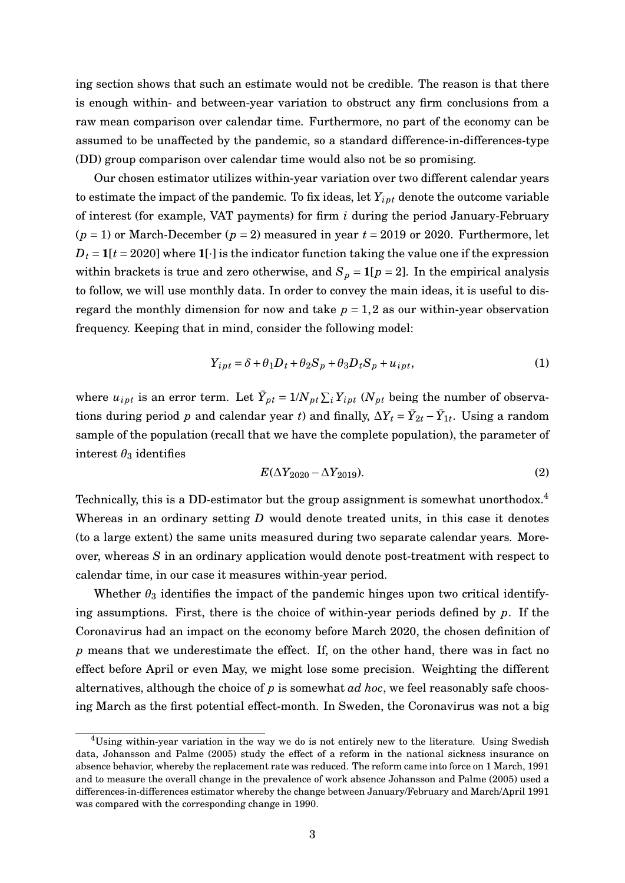ing section shows that such an estimate would not be credible. The reason is that there is enough within- and between-year variation to obstruct any firm conclusions from a raw mean comparison over calendar time. Furthermore, no part of the economy can be assumed to be unaffected by the pandemic, so a standard difference-in-differences-type (DD) group comparison over calendar time would also not be so promising.

Our chosen estimator utilizes within-year variation over two different calendar years to estimate the impact of the pandemic. To fix ideas, let  $Y_{ipt}$  denote the outcome variable of interest (for example, VAT payments) for firm *i* during the period January-February  $(p = 1)$  or March-December  $(p = 2)$  measured in year  $t = 2019$  or 2020. Furthermore, let  $D_t = 1[t = 2020]$  where  $1[\cdot]$  is the indicator function taking the value one if the expression within brackets is true and zero otherwise, and  $S_p = 1[p = 2]$ . In the empirical analysis to follow, we will use monthly data. In order to convey the main ideas, it is useful to disregard the monthly dimension for now and take  $p = 1,2$  as our within-year observation frequency. Keeping that in mind, consider the following model:

<span id="page-3-0"></span>
$$
Y_{ipt} = \delta + \theta_1 D_t + \theta_2 S_p + \theta_3 D_t S_p + u_{ipt},
$$
\n(1)

where  $u_{ipt}$  is an error term. Let  $\bar{Y}_{pt} = 1/N_{pt} \sum_{i} Y_{ipt}$  ( $N_{pt}$  being the number of observations during period *p* and calendar year *t*) and finally,  $\Delta Y_t = \bar{Y}_{2t} - \bar{Y}_{1t}$ . Using a random sample of the population (recall that we have the complete population), the parameter of interest  $\theta_3$  identifies

<span id="page-3-1"></span>
$$
E(\Delta Y_{2020} - \Delta Y_{2019}).
$$
\n(2)

Technically, this is a DD-estimator but the group assignment is somewhat unorthodox.<sup>[4](#page-0-0)</sup> Whereas in an ordinary setting *D* would denote treated units, in this case it denotes (to a large extent) the same units measured during two separate calendar years. Moreover, whereas *S* in an ordinary application would denote post-treatment with respect to calendar time, in our case it measures within-year period.

Whether  $\theta_3$  identifies the impact of the pandemic hinges upon two critical identifying assumptions. First, there is the choice of within-year periods defined by *p*. If the Coronavirus had an impact on the economy before March 2020, the chosen definition of *p* means that we underestimate the effect. If, on the other hand, there was in fact no effect before April or even May, we might lose some precision. Weighting the different alternatives, although the choice of *p* is somewhat *ad hoc*, we feel reasonably safe choosing March as the first potential effect-month. In Sweden, the Coronavirus was not a big

<sup>4</sup>Using within-year variation in the way we do is not entirely new to the literature. Using Swedish data, [Johansson and Palme](#page-23-5) [\(2005\)](#page-23-5) study the effect of a reform in the national sickness insurance on absence behavior, whereby the replacement rate was reduced. The reform came into force on 1 March, 1991 and to measure the overall change in the prevalence of work absence [Johansson and Palme](#page-23-5) [\(2005\)](#page-23-5) used a differences-in-differences estimator whereby the change between January/February and March/April 1991 was compared with the corresponding change in 1990.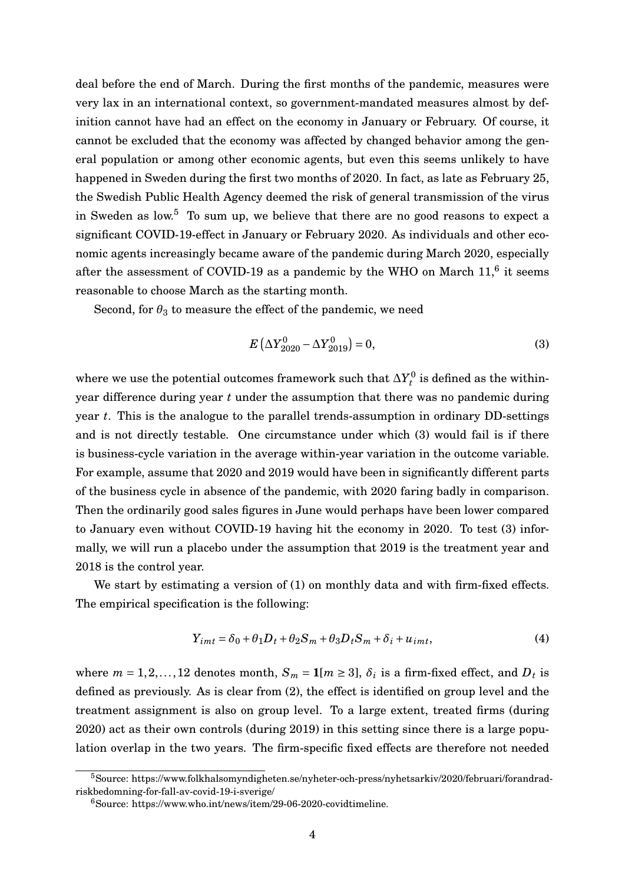deal before the end of March. During the first months of the pandemic, measures were very lax in an international context, so government-mandated measures almost by definition cannot have had an effect on the economy in January or February. Of course, it cannot be excluded that the economy was affected by changed behavior among the general population or among other economic agents, but even this seems unlikely to have happened in Sweden during the first two months of 2020. In fact, as late as February 25, the Swedish Public Health Agency deemed the risk of general transmission of the virus in Sweden as low.<sup>[5](#page-0-0)</sup> To sum up, we believe that there are no good reasons to expect a significant COVID-19-effect in January or February 2020. As individuals and other economic agents increasingly became aware of the pandemic during March 2020, especially after the assessment of COVID-19 as a pandemic by the WHO on March  $11<sup>6</sup>$  $11<sup>6</sup>$  $11<sup>6</sup>$  it seems reasonable to choose March as the starting month.

Second, for  $\theta_3$  to measure the effect of the pandemic, we need

<span id="page-4-0"></span>
$$
E\left(\Delta Y_{2020}^{0} - \Delta Y_{2019}^{0}\right) = 0,\t\t(3)
$$

where we use the potential outcomes framework such that  $\Delta Y^0_t$  is defined as the withinyear difference during year *t* under the assumption that there was no pandemic during year *t*. This is the analogue to the parallel trends-assumption in ordinary DD-settings and is not directly testable. One circumstance under which [\(3\)](#page-4-0) would fail is if there is business-cycle variation in the average within-year variation in the outcome variable. For example, assume that 2020 and 2019 would have been in significantly different parts of the business cycle in absence of the pandemic, with 2020 faring badly in comparison. Then the ordinarily good sales figures in June would perhaps have been lower compared to January even without COVID-19 having hit the economy in 2020. To test [\(3\)](#page-4-0) informally, we will run a placebo under the assumption that 2019 is the treatment year and 2018 is the control year.

We start by estimating a version of [\(1\)](#page-3-0) on monthly data and with firm-fixed effects. The empirical specification is the following:

<span id="page-4-1"></span>
$$
Y_{imt} = \delta_0 + \theta_1 D_t + \theta_2 S_m + \theta_3 D_t S_m + \delta_i + u_{imt},\tag{4}
$$

where  $m = 1, 2, ..., 12$  denotes month,  $S_m = 1[m \ge 3]$ ,  $\delta_i$  is a firm-fixed effect, and  $D_t$  is defined as previously. As is clear from [\(2\)](#page-3-1), the effect is identified on group level and the treatment assignment is also on group level. To a large extent, treated firms (during 2020) act as their own controls (during 2019) in this setting since there is a large population overlap in the two years. The firm-specific fixed effects are therefore not needed

<sup>5</sup>Source: https://www.folkhalsomyndigheten.se/nyheter-och-press/nyhetsarkiv/2020/februari/forandradriskbedomning-for-fall-av-covid-19-i-sverige/

<sup>6</sup>Source: https://www.who.int/news/item/29-06-2020-covidtimeline.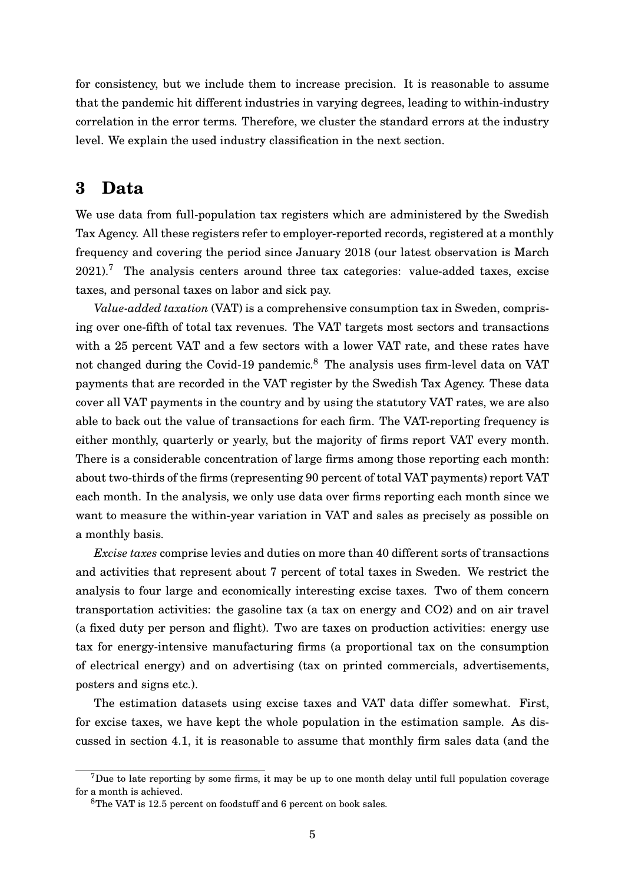for consistency, but we include them to increase precision. It is reasonable to assume that the pandemic hit different industries in varying degrees, leading to within-industry correlation in the error terms. Therefore, we cluster the standard errors at the industry level. We explain the used industry classification in the next section.

### <span id="page-5-0"></span>**3 Data**

We use data from full-population tax registers which are administered by the Swedish Tax Agency. All these registers refer to employer-reported records, registered at a monthly frequency and covering the period since January 2018 (our latest observation is March  $2021$ ).<sup>[7](#page-0-0)</sup> The analysis centers around three tax categories: value-added taxes, excise taxes, and personal taxes on labor and sick pay.

*Value-added taxation* (VAT) is a comprehensive consumption tax in Sweden, comprising over one-fifth of total tax revenues. The VAT targets most sectors and transactions with a 25 percent VAT and a few sectors with a lower VAT rate, and these rates have not changed during the Covid-19 pandemic.<sup>[8](#page-0-0)</sup> The analysis uses firm-level data on VAT payments that are recorded in the VAT register by the Swedish Tax Agency. These data cover all VAT payments in the country and by using the statutory VAT rates, we are also able to back out the value of transactions for each firm. The VAT-reporting frequency is either monthly, quarterly or yearly, but the majority of firms report VAT every month. There is a considerable concentration of large firms among those reporting each month: about two-thirds of the firms (representing 90 percent of total VAT payments) report VAT each month. In the analysis, we only use data over firms reporting each month since we want to measure the within-year variation in VAT and sales as precisely as possible on a monthly basis.

*Excise taxes* comprise levies and duties on more than 40 different sorts of transactions and activities that represent about 7 percent of total taxes in Sweden. We restrict the analysis to four large and economically interesting excise taxes. Two of them concern transportation activities: the gasoline tax (a tax on energy and CO2) and on air travel (a fixed duty per person and flight). Two are taxes on production activities: energy use tax for energy-intensive manufacturing firms (a proportional tax on the consumption of electrical energy) and on advertising (tax on printed commercials, advertisements, posters and signs etc.).

The estimation datasets using excise taxes and VAT data differ somewhat. First, for excise taxes, we have kept the whole population in the estimation sample. As discussed in section [4.1,](#page-7-1) it is reasonable to assume that monthly firm sales data (and the

 $7$ Due to late reporting by some firms, it may be up to one month delay until full population coverage for a month is achieved.

<sup>8</sup>The VAT is 12.5 percent on foodstuff and 6 percent on book sales.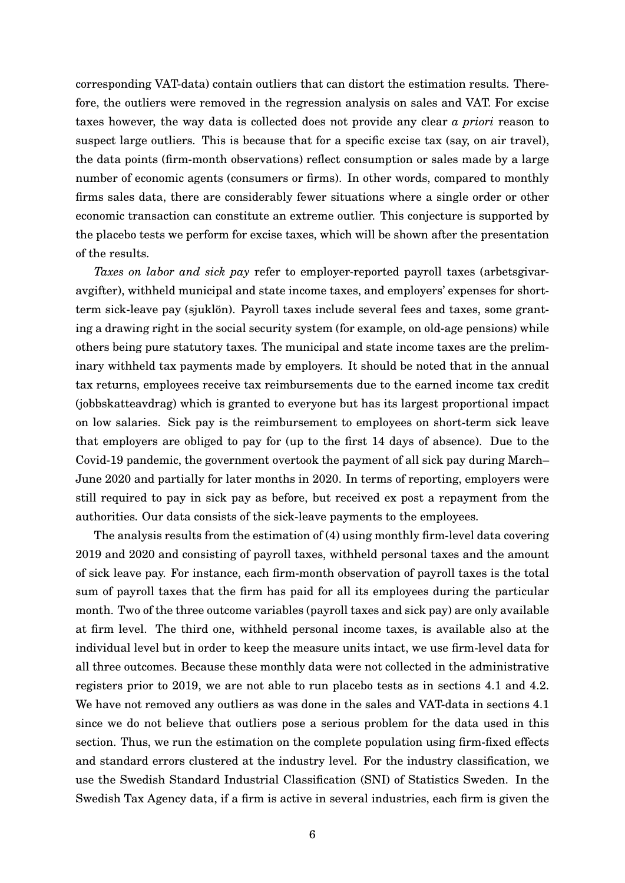corresponding VAT-data) contain outliers that can distort the estimation results. Therefore, the outliers were removed in the regression analysis on sales and VAT. For excise taxes however, the way data is collected does not provide any clear *a priori* reason to suspect large outliers. This is because that for a specific excise tax (say, on air travel), the data points (firm-month observations) reflect consumption or sales made by a large number of economic agents (consumers or firms). In other words, compared to monthly firms sales data, there are considerably fewer situations where a single order or other economic transaction can constitute an extreme outlier. This conjecture is supported by the placebo tests we perform for excise taxes, which will be shown after the presentation of the results.

*Taxes on labor and sick pay* refer to employer-reported payroll taxes (arbetsgivaravgifter), withheld municipal and state income taxes, and employers' expenses for shortterm sick-leave pay (sjuklön). Payroll taxes include several fees and taxes, some granting a drawing right in the social security system (for example, on old-age pensions) while others being pure statutory taxes. The municipal and state income taxes are the preliminary withheld tax payments made by employers. It should be noted that in the annual tax returns, employees receive tax reimbursements due to the earned income tax credit (jobbskatteavdrag) which is granted to everyone but has its largest proportional impact on low salaries. Sick pay is the reimbursement to employees on short-term sick leave that employers are obliged to pay for (up to the first 14 days of absence). Due to the Covid-19 pandemic, the government overtook the payment of all sick pay during March– June 2020 and partially for later months in 2020. In terms of reporting, employers were still required to pay in sick pay as before, but received ex post a repayment from the authorities. Our data consists of the sick-leave payments to the employees.

The analysis results from the estimation of [\(4\)](#page-4-1) using monthly firm-level data covering 2019 and 2020 and consisting of payroll taxes, withheld personal taxes and the amount of sick leave pay. For instance, each firm-month observation of payroll taxes is the total sum of payroll taxes that the firm has paid for all its employees during the particular month. Two of the three outcome variables (payroll taxes and sick pay) are only available at firm level. The third one, withheld personal income taxes, is available also at the individual level but in order to keep the measure units intact, we use firm-level data for all three outcomes. Because these monthly data were not collected in the administrative registers prior to 2019, we are not able to run placebo tests as in sections [4.1](#page-7-1) and [4.2.](#page-14-0) We have not removed any outliers as was done in the sales and VAT-data in sections [4.1](#page-7-1) since we do not believe that outliers pose a serious problem for the data used in this section. Thus, we run the estimation on the complete population using firm-fixed effects and standard errors clustered at the industry level. For the industry classification, we use the Swedish Standard Industrial Classification (SNI) of Statistics Sweden. In the Swedish Tax Agency data, if a firm is active in several industries, each firm is given the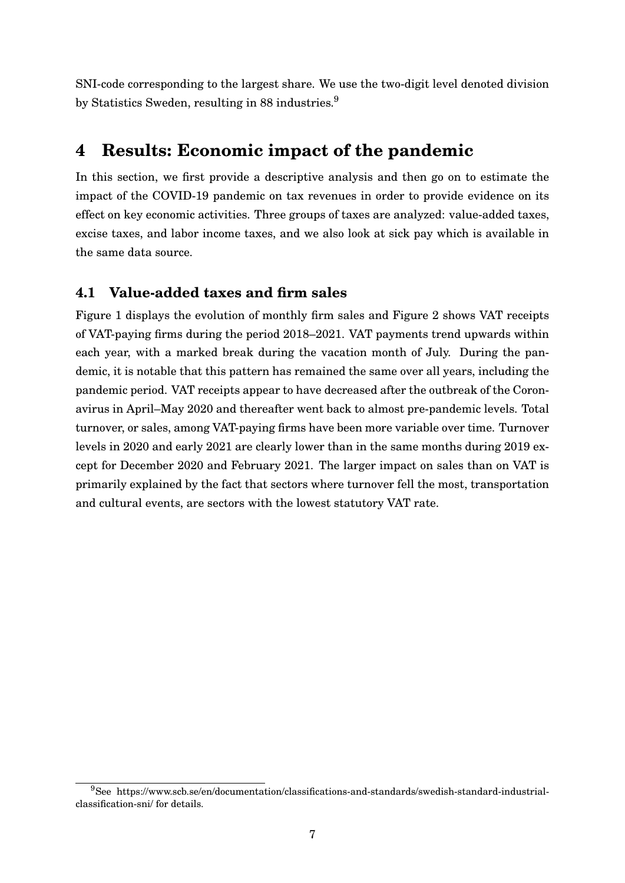<span id="page-7-0"></span>SNI-code corresponding to the largest share. We use the two-digit level denoted division by Statistics Sweden, resulting in 88 industries.<sup>[9](#page-0-0)</sup>

## **4 Results: Economic impact of the pandemic**

In this section, we first provide a descriptive analysis and then go on to estimate the impact of the COVID-19 pandemic on tax revenues in order to provide evidence on its effect on key economic activities. Three groups of taxes are analyzed: value-added taxes, excise taxes, and labor income taxes, and we also look at sick pay which is available in the same data source.

#### <span id="page-7-1"></span>**4.1 Value-added taxes and firm sales**

Figure [1](#page-8-0) displays the evolution of monthly firm sales and Figure [2](#page-8-1) shows VAT receipts of VAT-paying firms during the period 2018–2021. VAT payments trend upwards within each year, with a marked break during the vacation month of July. During the pandemic, it is notable that this pattern has remained the same over all years, including the pandemic period. VAT receipts appear to have decreased after the outbreak of the Coronavirus in April–May 2020 and thereafter went back to almost pre-pandemic levels. Total turnover, or sales, among VAT-paying firms have been more variable over time. Turnover levels in 2020 and early 2021 are clearly lower than in the same months during 2019 except for December 2020 and February 2021. The larger impact on sales than on VAT is primarily explained by the fact that sectors where turnover fell the most, transportation and cultural events, are sectors with the lowest statutory VAT rate.

<sup>9</sup>See https://www.scb.se/en/documentation/classifications-and-standards/swedish-standard-industrialclassification-sni/ for details.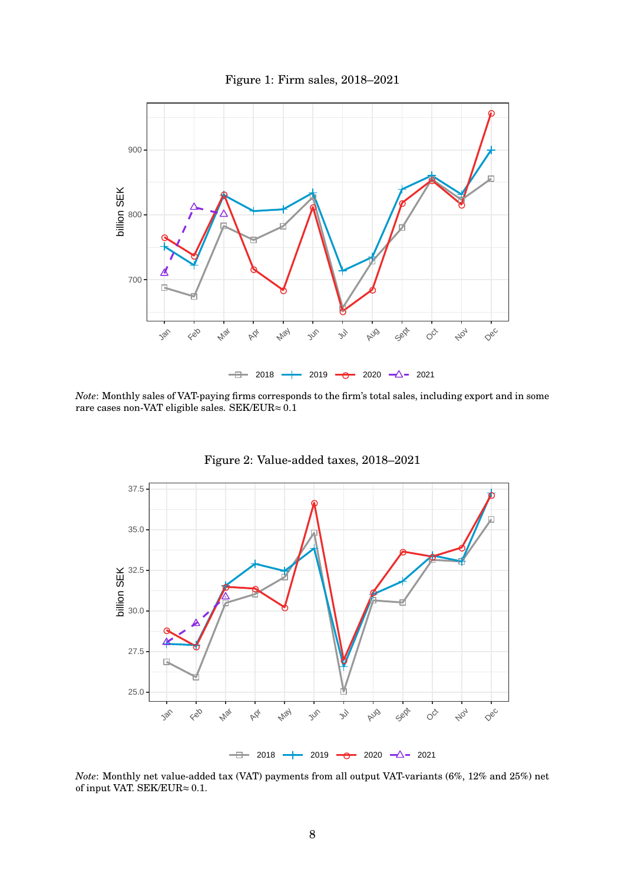<span id="page-8-0"></span>

*Note*: Monthly sales of VAT-paying firms corresponds to the firm's total sales, including export and in some rare cases non-VAT eligible sales. SEK/EUR≈ 0.1

<span id="page-8-1"></span>

Figure 2: Value-added taxes, 2018–2021

*Note*: Monthly net value-added tax (VAT) payments from all output VAT-variants (6%, 12% and 25%) net of input VAT. SEK/EUR $\approx 0.1$ .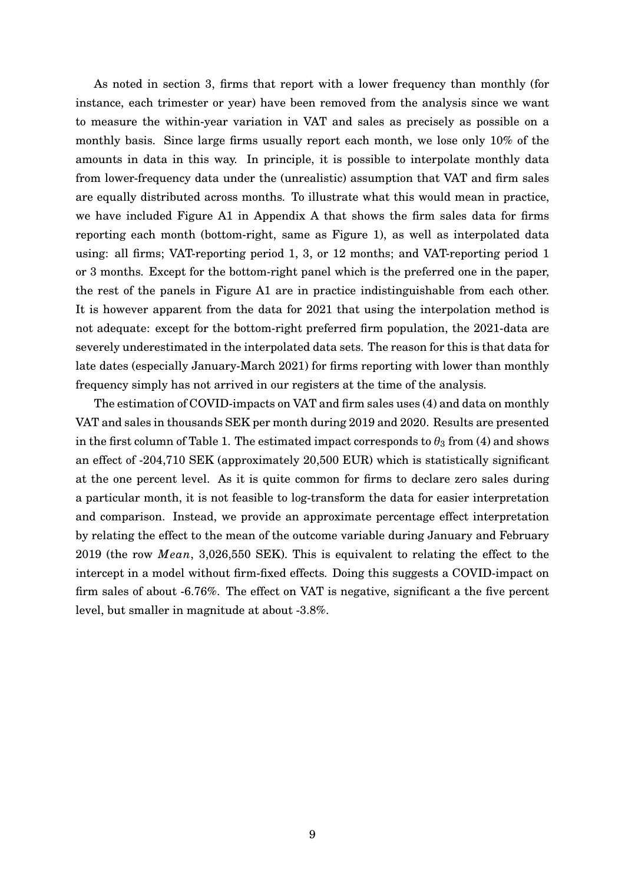As noted in section [3,](#page-5-0) firms that report with a lower frequency than monthly (for instance, each trimester or year) have been removed from the analysis since we want to measure the within-year variation in VAT and sales as precisely as possible on a monthly basis. Since large firms usually report each month, we lose only 10% of the amounts in data in this way. In principle, it is possible to interpolate monthly data from lower-frequency data under the (unrealistic) assumption that VAT and firm sales are equally distributed across months. To illustrate what this would mean in practice, we have included Figure [A1](#page-24-0) in Appendix A that shows the firm sales data for firms reporting each month (bottom-right, same as Figure [1\)](#page-8-0), as well as interpolated data using: all firms; VAT-reporting period 1, 3, or 12 months; and VAT-reporting period 1 or 3 months. Except for the bottom-right panel which is the preferred one in the paper, the rest of the panels in Figure [A1](#page-24-0) are in practice indistinguishable from each other. It is however apparent from the data for 2021 that using the interpolation method is not adequate: except for the bottom-right preferred firm population, the 2021-data are severely underestimated in the interpolated data sets. The reason for this is that data for late dates (especially January-March 2021) for firms reporting with lower than monthly frequency simply has not arrived in our registers at the time of the analysis.

The estimation of COVID-impacts on VAT and firm sales uses [\(4\)](#page-4-1) and data on monthly VAT and sales in thousands SEK per month during 2019 and 2020. Results are presented in the first column of Table [1.](#page-10-0) The estimated impact corresponds to  $\theta_3$  from [\(4\)](#page-4-1) and shows an effect of -204,710 SEK (approximately 20,500 EUR) which is statistically significant at the one percent level. As it is quite common for firms to declare zero sales during a particular month, it is not feasible to log-transform the data for easier interpretation and comparison. Instead, we provide an approximate percentage effect interpretation by relating the effect to the mean of the outcome variable during January and February 2019 (the row *Mean*, 3,026,550 SEK). This is equivalent to relating the effect to the intercept in a model without firm-fixed effects. Doing this suggests a COVID-impact on firm sales of about -6.76%. The effect on VAT is negative, significant a the five percent level, but smaller in magnitude at about -3.8%.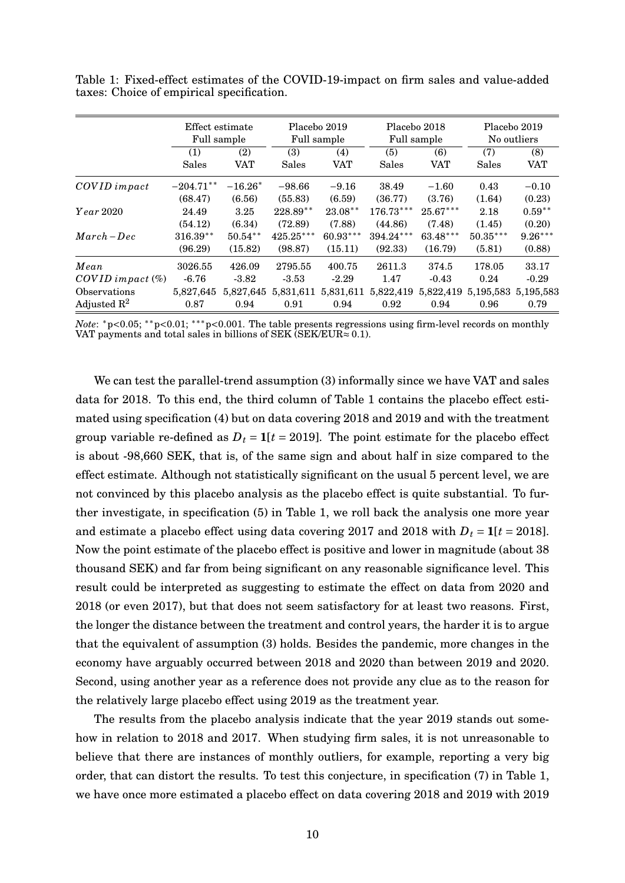|                         | Effect estimate<br>Full sample |                      | Placebo 2019<br>Full sample |                       | Placebo 2018<br>Full sample |                      | Placebo 2019<br>No outliers |                     |
|-------------------------|--------------------------------|----------------------|-----------------------------|-----------------------|-----------------------------|----------------------|-----------------------------|---------------------|
|                         | (1)<br>Sales                   | (2)<br>VAT           | (3)<br>Sales                | (4)<br><b>VAT</b>     | (5)<br>Sales                | (6)<br><b>VAT</b>    | (7)<br>Sales                | (8)<br><b>VAT</b>   |
| COVID impact            | $-204.71**$                    | $-16.26*$            | $-98.66$                    | $-9.16$               | 38.49                       | $-1.60$              | 0.43                        | $-0.10$             |
| $Year\,2020$            | (68.47)<br>24.49               | (6.56)<br>3.25       | (55.83)<br>$228.89**$       | (6.59)<br>$23.08**$   | (36.77)<br>$176.73***$      | (3.76)<br>$25.67***$ | (1.64)<br>2.18              | (0.23)<br>$0.59**$  |
| $March - Dec$           | (54.12)                        | (6.34)               | (72.89)                     | (7.88)                | (44.86)                     | (7.48)               | (1.45)                      | (0.20)              |
|                         | $316.39**$<br>(96.29)          | $50.54**$<br>(15.82) | $425.25***$<br>(98.87)      | $60.93***$<br>(15.11) | 394.24***<br>(92.33)        | 63.48***<br>(16.79)  | $50.35***$<br>(5.81)        | $9.26***$<br>(0.88) |
| Mean                    | 3026.55                        | 426.09               | 2795.55                     | 400.75                | 2611.3                      | 374.5                | 178.05                      | 33.17               |
| $COVID$ impact $(\%)$   | $-6.76$                        | $-3.82$              | $-3.53$                     | $-2.29$               | 1.47                        | $-0.43$              | 0.24                        | $-0.29$             |
| Observations            | 5,827,645                      | 5,827,645            | 5,831,611                   | 5,831,611             | 5,822,419                   | 5,822,419            | 5, 195, 583 5, 195, 583     |                     |
| Adjusted $\mathbb{R}^2$ | 0.87                           | 0.94                 | 0.91                        | 0.94                  | 0.92                        | 0.94                 | 0.96                        | 0.79                |

<span id="page-10-0"></span>Table 1: Fixed-effect estimates of the COVID-19-impact on firm sales and value-added taxes: Choice of empirical specification.

*Note*: <sup>\*</sup>p<0.05; <sup>\*\*</sup>p<0.01; <sup>\*\*\*</sup>p<0.001. The table presents regressions using firm-level records on monthly VAT payments and total sales in billions of SEK (SEK/EUR $\approx 0.1$ ).

We can test the parallel-trend assumption [\(3\)](#page-4-0) informally since we have VAT and sales data for 2018. To this end, the third column of Table [1](#page-10-0) contains the placebo effect estimated using specification [\(4\)](#page-4-1) but on data covering 2018 and 2019 and with the treatment group variable re-defined as  $D_t = 1[t = 2019]$ . The point estimate for the placebo effect is about -98,660 SEK, that is, of the same sign and about half in size compared to the effect estimate. Although not statistically significant on the usual 5 percent level, we are not convinced by this placebo analysis as the placebo effect is quite substantial. To further investigate, in specification (5) in Table [1,](#page-10-0) we roll back the analysis one more year and estimate a placebo effect using data covering 2017 and 2018 with  $D_t = 1[t = 2018]$ . Now the point estimate of the placebo effect is positive and lower in magnitude (about 38 thousand SEK) and far from being significant on any reasonable significance level. This result could be interpreted as suggesting to estimate the effect on data from 2020 and 2018 (or even 2017), but that does not seem satisfactory for at least two reasons. First, the longer the distance between the treatment and control years, the harder it is to argue that the equivalent of assumption [\(3\)](#page-4-0) holds. Besides the pandemic, more changes in the economy have arguably occurred between 2018 and 2020 than between 2019 and 2020. Second, using another year as a reference does not provide any clue as to the reason for the relatively large placebo effect using 2019 as the treatment year.

The results from the placebo analysis indicate that the year 2019 stands out somehow in relation to 2018 and 2017. When studying firm sales, it is not unreasonable to believe that there are instances of monthly outliers, for example, reporting a very big order, that can distort the results. To test this conjecture, in specification (7) in Table [1,](#page-10-0) we have once more estimated a placebo effect on data covering 2018 and 2019 with 2019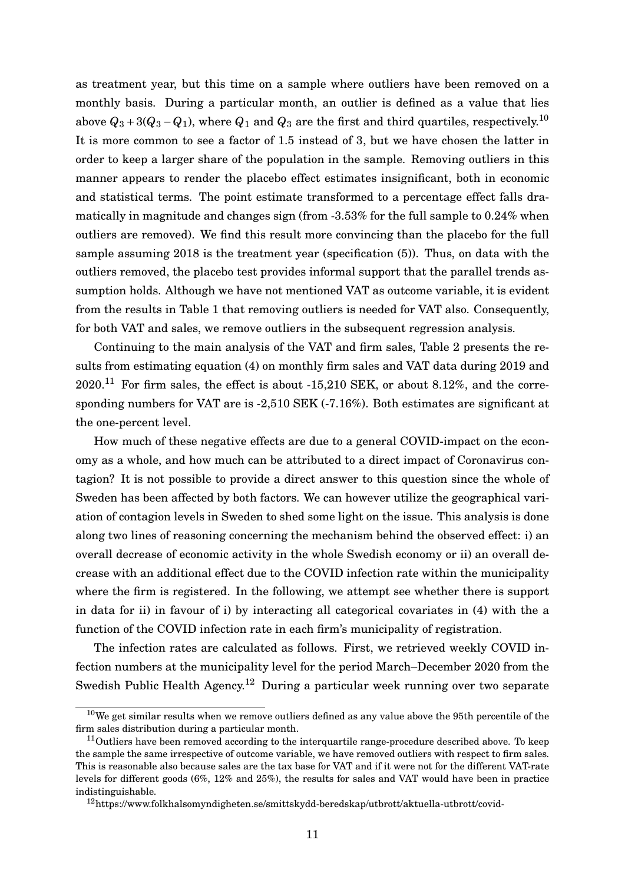as treatment year, but this time on a sample where outliers have been removed on a monthly basis. During a particular month, an outlier is defined as a value that lies above  $Q_3 + 3(Q_3 - Q_1)$ , where  $Q_1$  and  $Q_3$  are the first and third quartiles, respectively.<sup>[10](#page-0-0)</sup> It is more common to see a factor of 1.5 instead of 3, but we have chosen the latter in order to keep a larger share of the population in the sample. Removing outliers in this manner appears to render the placebo effect estimates insignificant, both in economic and statistical terms. The point estimate transformed to a percentage effect falls dramatically in magnitude and changes sign (from -3.53% for the full sample to 0.24% when outliers are removed). We find this result more convincing than the placebo for the full sample assuming 2018 is the treatment year (specification (5)). Thus, on data with the outliers removed, the placebo test provides informal support that the parallel trends assumption holds. Although we have not mentioned VAT as outcome variable, it is evident from the results in Table [1](#page-10-0) that removing outliers is needed for VAT also. Consequently, for both VAT and sales, we remove outliers in the subsequent regression analysis.

Continuing to the main analysis of the VAT and firm sales, Table [2](#page-13-0) presents the results from estimating equation [\(4\)](#page-4-1) on monthly firm sales and VAT data during 2019 and  $2020$ .<sup>[11](#page-0-0)</sup> For firm sales, the effect is about -15,210 SEK, or about 8.12%, and the corresponding numbers for VAT are is -2,510 SEK (-7.16%). Both estimates are significant at the one-percent level.

How much of these negative effects are due to a general COVID-impact on the economy as a whole, and how much can be attributed to a direct impact of Coronavirus contagion? It is not possible to provide a direct answer to this question since the whole of Sweden has been affected by both factors. We can however utilize the geographical variation of contagion levels in Sweden to shed some light on the issue. This analysis is done along two lines of reasoning concerning the mechanism behind the observed effect: i) an overall decrease of economic activity in the whole Swedish economy or ii) an overall decrease with an additional effect due to the COVID infection rate within the municipality where the firm is registered. In the following, we attempt see whether there is support in data for ii) in favour of i) by interacting all categorical covariates in [\(4\)](#page-4-1) with the a function of the COVID infection rate in each firm's municipality of registration.

The infection rates are calculated as follows. First, we retrieved weekly COVID infection numbers at the municipality level for the period March–December 2020 from the Swedish Public Health Agency.[12](#page-0-0) During a particular week running over two separate

 $10$ We get similar results when we remove outliers defined as any value above the 95th percentile of the firm sales distribution during a particular month.

<sup>&</sup>lt;sup>11</sup>Outliers have been removed according to the interquartile range-procedure described above. To keep the sample the same irrespective of outcome variable, we have removed outliers with respect to firm sales. This is reasonable also because sales are the tax base for VAT and if it were not for the different VAT-rate levels for different goods (6%, 12% and 25%), the results for sales and VAT would have been in practice indistinguishable.

<sup>12</sup>https://www.folkhalsomyndigheten.se/smittskydd-beredskap/utbrott/aktuella-utbrott/covid-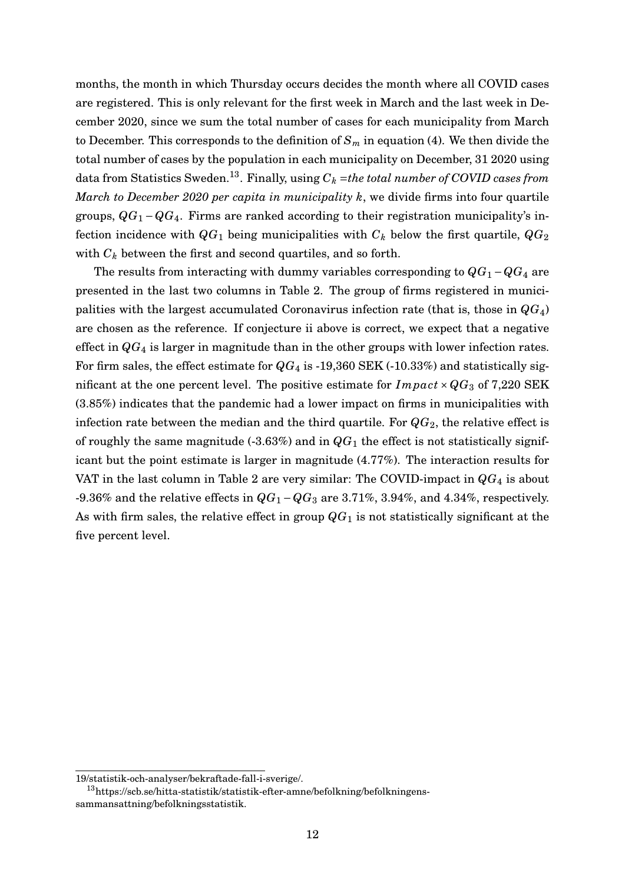months, the month in which Thursday occurs decides the month where all COVID cases are registered. This is only relevant for the first week in March and the last week in December 2020, since we sum the total number of cases for each municipality from March to December. This corresponds to the definition of  $S_m$  in equation [\(4\)](#page-4-1). We then divide the total number of cases by the population in each municipality on December, 31 2020 using data from Statistics Sweden.<sup>[13](#page-0-0)</sup>. Finally, using  $C_k$  =the total number of COVID cases from *March to December 2020 per capita in municipality k*, we divide firms into four quartile groups,  $QG_1 - QG_4$ . Firms are ranked according to their registration municipality's infection incidence with  $QG_1$  being municipalities with  $C_k$  below the first quartile,  $QG_2$ with *C<sup>k</sup>* between the first and second quartiles, and so forth.

The results from interacting with dummy variables corresponding to  $QG_1 - QG_4$  are presented in the last two columns in Table [2.](#page-13-0) The group of firms registered in municipalities with the largest accumulated Coronavirus infection rate (that is, those in *QG*4) are chosen as the reference. If conjecture ii above is correct, we expect that a negative effect in *QG*<sup>4</sup> is larger in magnitude than in the other groups with lower infection rates. For firm sales, the effect estimate for  $QG_4$  is -19,360 SEK (-10.33%) and statistically significant at the one percent level. The positive estimate for  $Im \, part \times QG_3$  of 7,220 SEK (3.85%) indicates that the pandemic had a lower impact on firms in municipalities with infection rate between the median and the third quartile. For  $QG_2$ , the relative effect is of roughly the same magnitude  $(-3.63\%)$  and in  $QG_1$  the effect is not statistically significant but the point estimate is larger in magnitude (4.77%). The interaction results for VAT in the last column in Table [2](#page-13-0) are very similar: The COVID-impact in  $QG_4$  is about -9.36% and the relative effects in *QG*<sup>1</sup> −*QG*<sup>3</sup> are 3.71%, 3.94%, and 4.34%, respectively. As with firm sales, the relative effect in group  $QG_1$  is not statistically significant at the five percent level.

<sup>19/</sup>statistik-och-analyser/bekraftade-fall-i-sverige/.

<sup>13</sup>https://scb.se/hitta-statistik/statistik-efter-amne/befolkning/befolkningenssammansattning/befolkningsstatistik.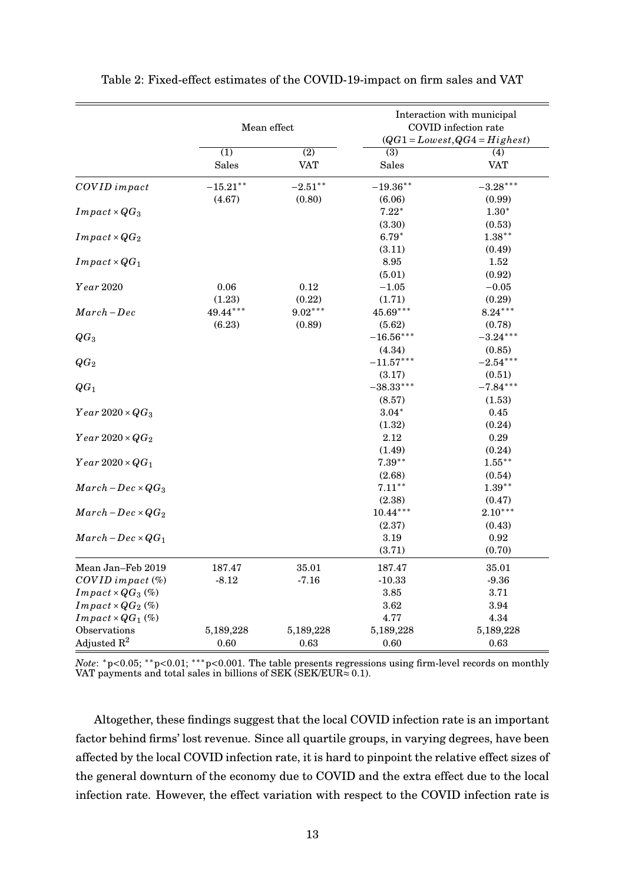|                                 |                  | Mean effect      | Interaction with municipal<br>COVID infection rate<br>$(QG1 = Lovest, QG4 = Highest)$ |            |  |
|---------------------------------|------------------|------------------|---------------------------------------------------------------------------------------|------------|--|
|                                 | $\overline{(1)}$ | $\overline{(2)}$ | (3)                                                                                   | (4)        |  |
|                                 | <b>Sales</b>     | VAT              | Sales                                                                                 | <b>VAT</b> |  |
| COVID impact                    | $-15.21***$      | $-2.51***$       | $-19.36**$                                                                            | $-3.28***$ |  |
|                                 | (4.67)           | (0.80)           | (6.06)                                                                                | (0.99)     |  |
| $Im\,pack \times QG_3$          |                  |                  | $7.22*$                                                                               | $1.30*$    |  |
|                                 |                  |                  | (3.30)                                                                                | (0.53)     |  |
| $Im\,pack \times QG_2$          |                  |                  | $6.79*$                                                                               | $1.38***$  |  |
|                                 |                  |                  | (3.11)                                                                                | (0.49)     |  |
| $Im\,pack \times QG_1$          |                  |                  | 8.95                                                                                  | 1.52       |  |
|                                 |                  |                  | (5.01)                                                                                | (0.92)     |  |
| Year 2020                       | 0.06             | 0.12             | $-1.05$                                                                               | $-0.05$    |  |
|                                 | (1.23)           | (0.22)           | (1.71)                                                                                | (0.29)     |  |
| $March-Dec$                     | 49.44***         | $9.02***$        | $45.69***$                                                                            | $8.24***$  |  |
|                                 | (6.23)           | (0.89)           | (5.62)                                                                                | (0.78)     |  |
| $QG_3$                          |                  |                  | $-16.56***$                                                                           | $-3.24***$ |  |
|                                 |                  |                  | (4.34)                                                                                | (0.85)     |  |
| $QG_2$                          |                  |                  | $-11.57***$                                                                           | $-2.54***$ |  |
|                                 |                  |                  | (3.17)                                                                                | (0.51)     |  |
| $QG_1$                          |                  |                  | $-38.33***$                                                                           | $-7.84***$ |  |
|                                 |                  |                  | (8.57)                                                                                | (1.53)     |  |
| $Year\,2020\times QG_3$         |                  |                  | $3.04*$                                                                               | 0.45       |  |
|                                 |                  |                  | (1.32)                                                                                | (0.24)     |  |
| $Year\,2020\times QG_2$         |                  |                  | 2.12                                                                                  | 0.29       |  |
|                                 |                  |                  | (1.49)                                                                                | (0.24)     |  |
| $Year\,2020\times QG_1$         |                  |                  | $7.39***$                                                                             | $1.55***$  |  |
|                                 |                  |                  | (2.68)                                                                                | (0.54)     |  |
| $March - Dec \times QG_3$       |                  |                  | $7.11***$                                                                             | $1.39**$   |  |
|                                 |                  |                  | (2.38)                                                                                | (0.47)     |  |
| $March - Dec \times QG_2$       |                  |                  | $10.44***$                                                                            | $2.10***$  |  |
|                                 |                  |                  | (2.37)                                                                                | (0.43)     |  |
| $March - Dec \times QG_1$       |                  |                  | $3.19\,$                                                                              | 0.92       |  |
|                                 |                  |                  | (3.71)                                                                                | (0.70)     |  |
| Mean Jan-Feb 2019               | 187.47           | 35.01            | 187.47                                                                                | 35.01      |  |
| $COVID$ impact $(\%)$           | $-8.12$          | $-7.16$          | $-10.33$                                                                              | $-9.36$    |  |
| $Im \, pat \times QG_3 \, (\%)$ |                  |                  | 3.85                                                                                  | 3.71       |  |
| $Im\,pat \times QG_2$ (%)       |                  |                  | 3.62                                                                                  | 3.94       |  |
| $Im\,pat\times QG_1\,(\%)$      |                  |                  | 4.77                                                                                  | 4.34       |  |
| Observations                    | 5,189,228        | 5,189,228        | 5,189,228                                                                             | 5,189,228  |  |
| Adjusted $\mathbb{R}^2$         | 0.60             | 0.63             | 0.60                                                                                  | 0.63       |  |

<span id="page-13-0"></span>

*Note*: <sup>\*</sup>p<0.05; <sup>\*\*</sup>p<0.01; <sup>\*\*\*</sup>p<0.001. The table presents regressions using firm-level records on monthly VAT payments and total sales in billions of SEK (SEK/EUR $\approx 0.1$ ).

Altogether, these findings suggest that the local COVID infection rate is an important factor behind firms' lost revenue. Since all quartile groups, in varying degrees, have been affected by the local COVID infection rate, it is hard to pinpoint the relative effect sizes of the general downturn of the economy due to COVID and the extra effect due to the local infection rate. However, the effect variation with respect to the COVID infection rate is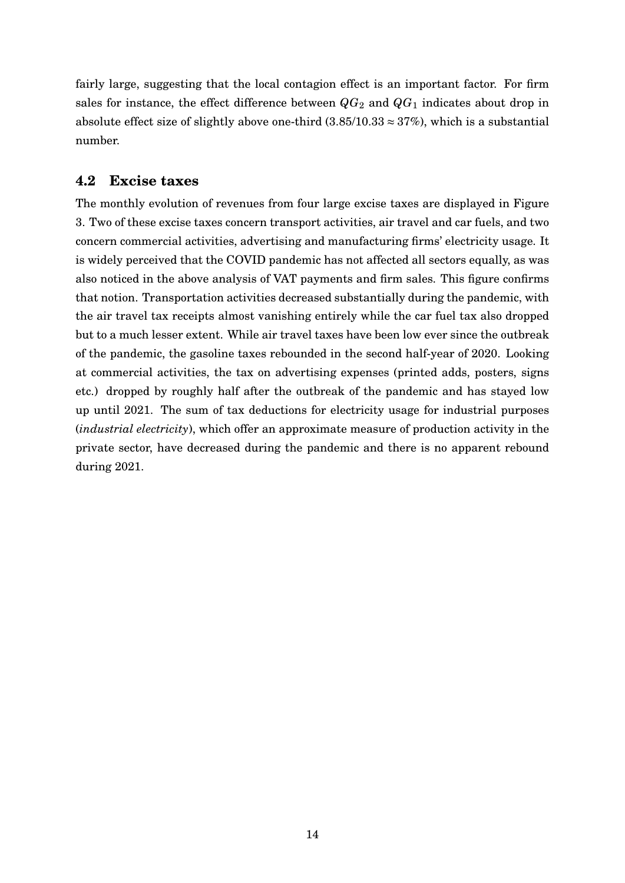fairly large, suggesting that the local contagion effect is an important factor. For firm sales for instance, the effect difference between  $QG_2$  and  $QG_1$  indicates about drop in absolute effect size of slightly above one-third  $(3.85/10.33 \approx 37\%)$ , which is a substantial number.

#### <span id="page-14-0"></span>**4.2 Excise taxes**

The monthly evolution of revenues from four large excise taxes are displayed in Figure [3.](#page-15-0) Two of these excise taxes concern transport activities, air travel and car fuels, and two concern commercial activities, advertising and manufacturing firms' electricity usage. It is widely perceived that the COVID pandemic has not affected all sectors equally, as was also noticed in the above analysis of VAT payments and firm sales. This figure confirms that notion. Transportation activities decreased substantially during the pandemic, with the air travel tax receipts almost vanishing entirely while the car fuel tax also dropped but to a much lesser extent. While air travel taxes have been low ever since the outbreak of the pandemic, the gasoline taxes rebounded in the second half-year of 2020. Looking at commercial activities, the tax on advertising expenses (printed adds, posters, signs etc.) dropped by roughly half after the outbreak of the pandemic and has stayed low up until 2021. The sum of tax deductions for electricity usage for industrial purposes (*industrial electricity*), which offer an approximate measure of production activity in the private sector, have decreased during the pandemic and there is no apparent rebound during 2021.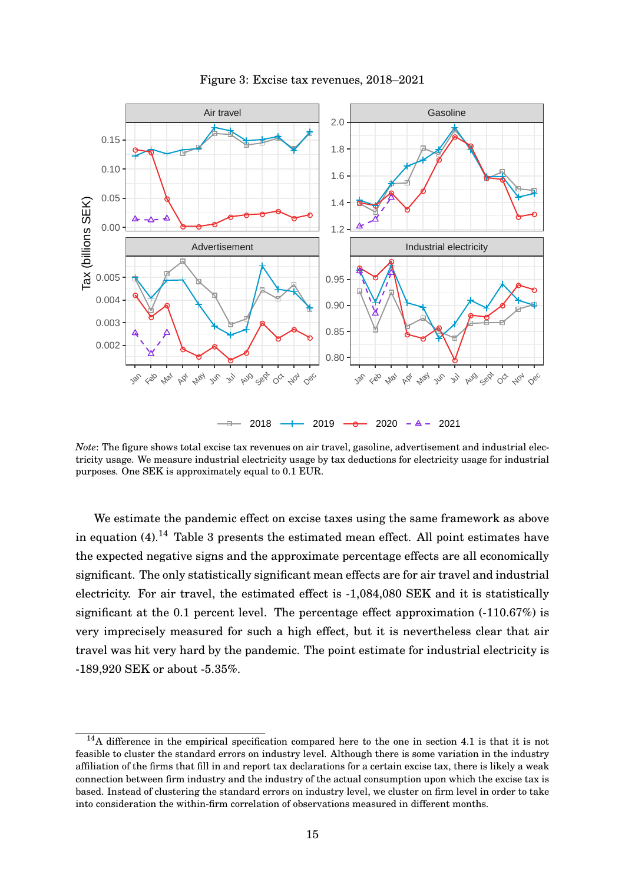<span id="page-15-0"></span>

Figure 3: Excise tax revenues, 2018–2021

*Note*: The figure shows total excise tax revenues on air travel, gasoline, advertisement and industrial electricity usage. We measure industrial electricity usage by tax deductions for electricity usage for industrial purposes. One SEK is approximately equal to 0.1 EUR.

We estimate the pandemic effect on excise taxes using the same framework as above in equation  $(4)$ .<sup>[14](#page-0-0)</sup> Table [3](#page-16-0) presents the estimated mean effect. All point estimates have the expected negative signs and the approximate percentage effects are all economically significant. The only statistically significant mean effects are for air travel and industrial electricity. For air travel, the estimated effect is -1,084,080 SEK and it is statistically significant at the 0.1 percent level. The percentage effect approximation (-110.67%) is very imprecisely measured for such a high effect, but it is nevertheless clear that air travel was hit very hard by the pandemic. The point estimate for industrial electricity is -189,920 SEK or about -5.35%.

<sup>14</sup>A difference in the empirical specification compared here to the one in section [4.1](#page-7-1) is that it is not feasible to cluster the standard errors on industry level. Although there is some variation in the industry affiliation of the firms that fill in and report tax declarations for a certain excise tax, there is likely a weak connection between firm industry and the industry of the actual consumption upon which the excise tax is based. Instead of clustering the standard errors on industry level, we cluster on firm level in order to take into consideration the within-firm correlation of observations measured in different months.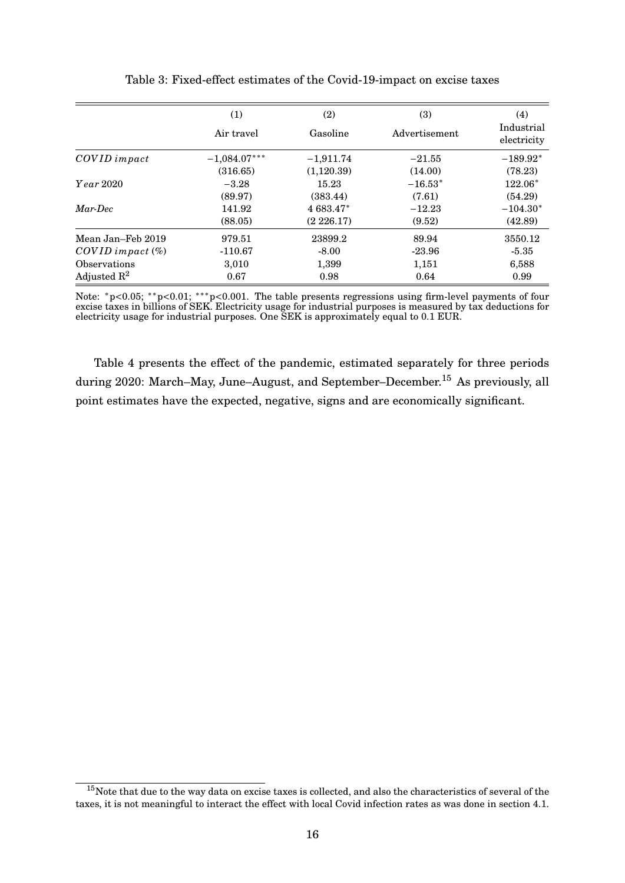<span id="page-16-0"></span>

|                         | (1)            | (2)         | (3)           | (4)<br>Industrial |
|-------------------------|----------------|-------------|---------------|-------------------|
|                         | Air travel     | Gasoline    | Advertisement | electricity       |
| COVID impact            | $-1,084.07***$ | $-1,911.74$ | $-21.55$      | $-189.92*$        |
|                         | (316.65)       | (1,120.39)  | (14.00)       | (78.23)           |
| <i>Year</i> 2020        | $-3.28$        | 15.23       | $-16.53*$     | $122.06*$         |
|                         | (89.97)        | (383.44)    | (7.61)        | (54.29)           |
| Mar-Dec                 | 141.92         | 4 683.47*   | $-12.23$      | $-104.30*$        |
|                         | (88.05)        | (2226.17)   | (9.52)        | (42.89)           |
| Mean Jan–Feb 2019       | 979.51         | 23899.2     | 89.94         | 3550.12           |
| $COVID$ impact $(\%)$   | $-110.67$      | $-8.00$     | $-23.96$      | $-5.35$           |
| Observations            | 3,010          | 1,399       | 1,151         | 6,588             |
| Adjusted $\mathbb{R}^2$ | 0.67           | 0.98        | 0.64          | 0.99              |

Table 3: Fixed-effect estimates of the Covid-19-impact on excise taxes

Note: \*p<0.05; \*\*p<0.01; \*\*\*p<0.001. The table presents regressions using firm-level payments of four excise taxes in billions of SEK. Electricity usage for industrial purposes is measured by tax deductions for electricity usage for industrial purposes. One SEK is approximately equal to 0.1 EUR.

Table [4](#page-17-0) presents the effect of the pandemic, estimated separately for three periods during 2020: March–May, June–August, and September–December.<sup>[15](#page-0-0)</sup> As previously, all point estimates have the expected, negative, signs and are economically significant.

<sup>&</sup>lt;sup>15</sup>Note that due to the way data on excise taxes is collected, and also the characteristics of several of the taxes, it is not meaningful to interact the effect with local Covid infection rates as was done in section [4.1.](#page-7-1)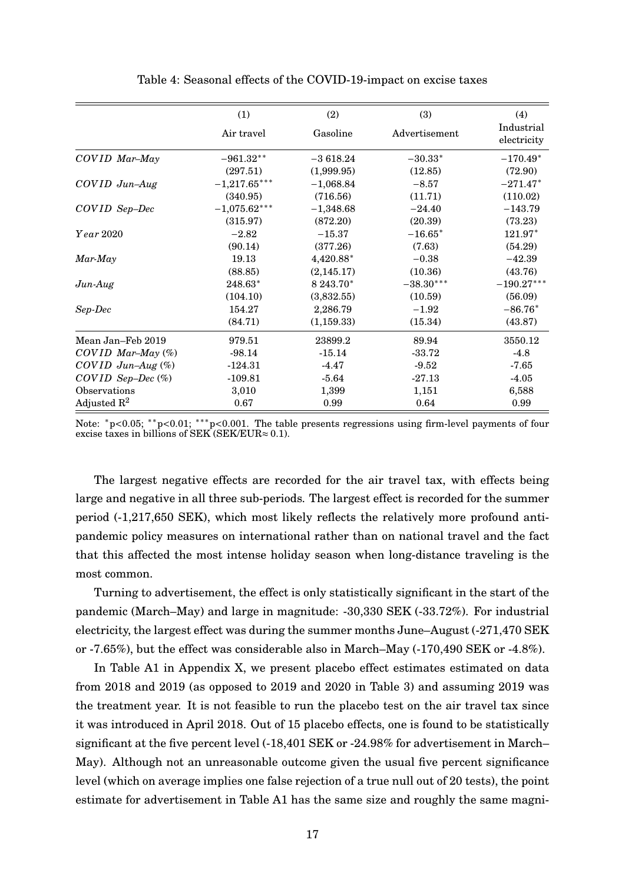<span id="page-17-0"></span>

|                         | (1)            | (2)         | (3)           | (4)                       |
|-------------------------|----------------|-------------|---------------|---------------------------|
|                         | Air travel     | Gasoline    | Advertisement | Industrial<br>electricity |
| COVID Mar-May           | $-961.32**$    | $-3618.24$  | $-30.33*$     | $-170.49*$                |
|                         | (297.51)       | (1,999.95)  | (12.85)       | (72.90)                   |
| $COVID$ $Jun$ - $Aug$   | $-1,217.65***$ | $-1,068.84$ | $-8.57$       | $-271.47*$                |
|                         | (340.95)       | (716.56)    | (11.71)       | (110.02)                  |
| COVID Sep-Dec           | $-1,075.62***$ | $-1,348.68$ | $-24.40$      | $-143.79$                 |
|                         | (315.97)       | (872.20)    | (20.39)       | (73.23)                   |
| $Year\,2020$            | $-2.82$        | $-15.37$    | $-16.65*$     | 121.97*                   |
|                         | (90.14)        | (377.26)    | (7.63)        | (54.29)                   |
| $Mar$ -May              | 19.13          | 4,420.88*   | $-0.38$       | $-42.39$                  |
|                         | (88.85)        | (2, 145.17) | (10.36)       | (43.76)                   |
| $Jun-Aug$               | 248.63*        | 8 243.70*   | $-38.30***$   | $-190.27***$              |
|                         | (104.10)       | (3,832.55)  | (10.59)       | (56.09)                   |
| Sep-Dec                 | 154.27         | 2,286.79    | $-1.92$       | $-86.76*$                 |
|                         | (84.71)        | (1, 159.33) | (15.34)       | (43.87)                   |
| Mean Jan-Feb 2019       | 979.51         | 23899.2     | 89.94         | 3550.12                   |
| $COVID$ Mar-May $(\%)$  | $-98.14$       | $-15.14$    | -33.72        | $-4.8$                    |
| COVID Jun-Aug $(\%)$    | $-124.31$      | $-4.47$     | $-9.52$       | $-7.65$                   |
| $COVID$ Sep-Dec $(\%)$  | $-109.81$      | $-5.64$     | $-27.13$      | $-4.05$                   |
| Observations            | 3,010          | 1,399       | 1,151         | 6,588                     |
| Adjusted $\mathbb{R}^2$ | 0.67           | 0.99        | 0.64          | 0.99                      |

Table 4: Seasonal effects of the COVID-19-impact on excise taxes

Note: \*p<0.05; \*\*p<0.01; \*\*\*p<0.001. The table presents regressions using firm-level payments of four excise taxes in billions of SEK (SEK/EUR $\approx$  0.1).

The largest negative effects are recorded for the air travel tax, with effects being large and negative in all three sub-periods. The largest effect is recorded for the summer period (-1,217,650 SEK), which most likely reflects the relatively more profound antipandemic policy measures on international rather than on national travel and the fact that this affected the most intense holiday season when long-distance traveling is the most common.

Turning to advertisement, the effect is only statistically significant in the start of the pandemic (March–May) and large in magnitude: -30,330 SEK (-33.72%). For industrial electricity, the largest effect was during the summer months June–August (-271,470 SEK or -7.65%), but the effect was considerable also in March–May (-170,490 SEK or -4.8%).

In Table [A1](#page-25-0) in Appendix X, we present placebo effect estimates estimated on data from 2018 and 2019 (as opposed to 2019 and 2020 in Table [3\)](#page-16-0) and assuming 2019 was the treatment year. It is not feasible to run the placebo test on the air travel tax since it was introduced in April 2018. Out of 15 placebo effects, one is found to be statistically significant at the five percent level (-18,401 SEK or -24.98% for advertisement in March– May). Although not an unreasonable outcome given the usual five percent significance level (which on average implies one false rejection of a true null out of 20 tests), the point estimate for advertisement in Table [A1](#page-25-0) has the same size and roughly the same magni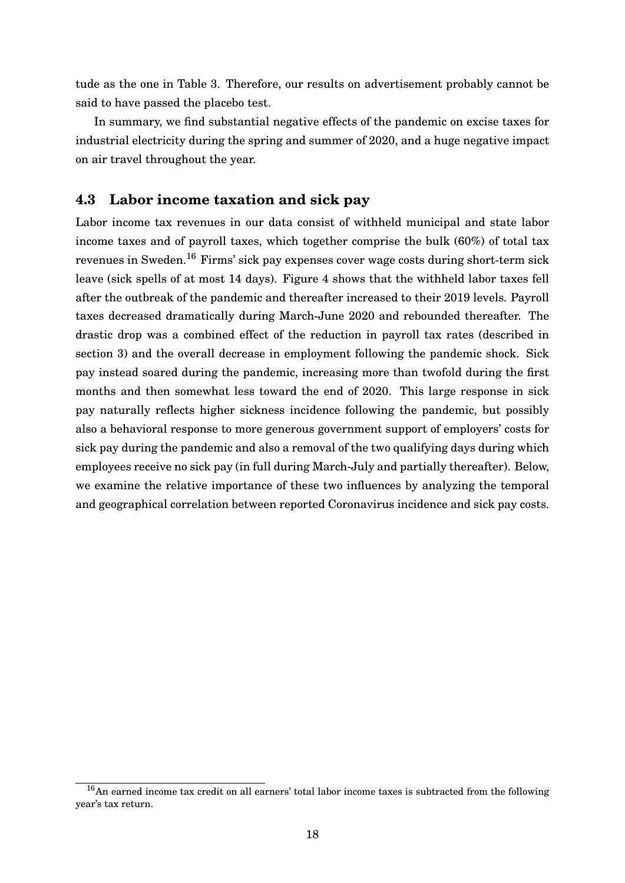tude as the one in Table [3.](#page-16-0) Therefore, our results on advertisement probably cannot be said to have passed the placebo test.

In summary, we find substantial negative effects of the pandemic on excise taxes for industrial electricity during the spring and summer of 2020, and a huge negative impact on air travel throughout the year.

#### **4.3 Labor income taxation and sick pay**

Labor income tax revenues in our data consist of withheld municipal and state labor income taxes and of payroll taxes, which together comprise the bulk (60%) of total tax revenues in Sweden.<sup>[16](#page-0-0)</sup> Firms' sick pay expenses cover wage costs during short-term sick leave (sick spells of at most 14 days). Figure [4](#page-19-0) shows that the withheld labor taxes fell after the outbreak of the pandemic and thereafter increased to their 2019 levels. Payroll taxes decreased dramatically during March-June 2020 and rebounded thereafter. The drastic drop was a combined effect of the reduction in payroll tax rates (described in section [3\)](#page-5-0) and the overall decrease in employment following the pandemic shock. Sick pay instead soared during the pandemic, increasing more than twofold during the first months and then somewhat less toward the end of 2020. This large response in sick pay naturally reflects higher sickness incidence following the pandemic, but possibly also a behavioral response to more generous government support of employers' costs for sick pay during the pandemic and also a removal of the two qualifying days during which employees receive no sick pay (in full during March-July and partially thereafter). Below, we examine the relative importance of these two influences by analyzing the temporal and geographical correlation between reported Coronavirus incidence and sick pay costs.

<sup>16</sup>An earned income tax credit on all earners' total labor income taxes is subtracted from the following year's tax return.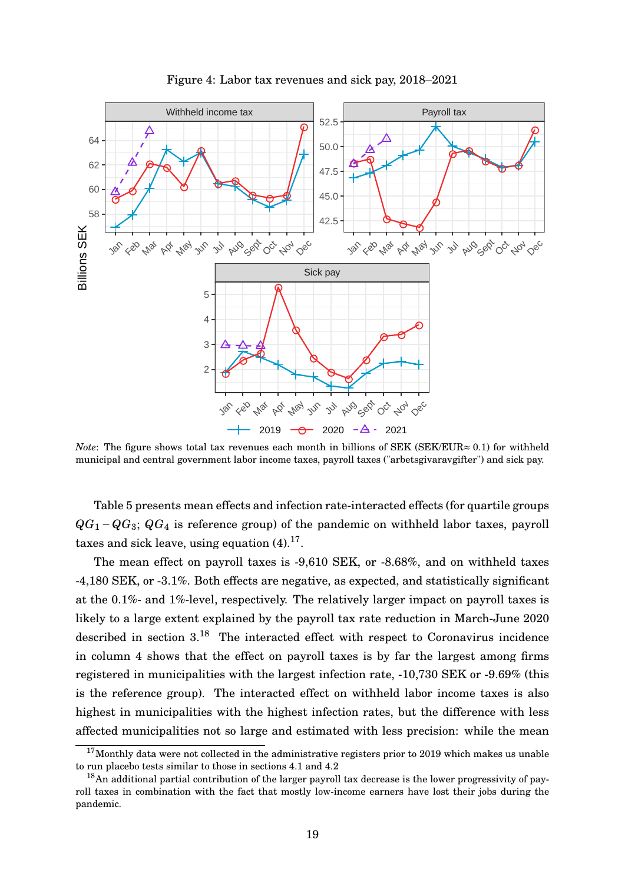<span id="page-19-0"></span>

Figure 4: Labor tax revenues and sick pay, 2018–2021

*Note*: The figure shows total tax revenues each month in billions of SEK (SEK/EUR≈ 0.1) for withheld municipal and central government labor income taxes, payroll taxes ("arbetsgivaravgifter") and sick pay.

Table [5](#page-21-0) presents mean effects and infection rate-interacted effects (for quartile groups *QG*<sub>1</sub> −*QG*<sub>3</sub>; *QG*<sub>4</sub> is reference group) of the pandemic on withheld labor taxes, payroll taxes and sick leave, using equation  $(4).^{17}$  $(4).^{17}$  $(4).^{17}$  $(4).^{17}$ .

The mean effect on payroll taxes is -9,610 SEK, or -8.68%, and on withheld taxes -4,180 SEK, or -3.1%. Both effects are negative, as expected, and statistically significant at the 0.1%- and 1%-level, respectively. The relatively larger impact on payroll taxes is likely to a large extent explained by the payroll tax rate reduction in March-June 2020 described in section [3.](#page-5-0)[18](#page-0-0) The interacted effect with respect to Coronavirus incidence in column 4 shows that the effect on payroll taxes is by far the largest among firms registered in municipalities with the largest infection rate, -10,730 SEK or -9.69% (this is the reference group). The interacted effect on withheld labor income taxes is also highest in municipalities with the highest infection rates, but the difference with less affected municipalities not so large and estimated with less precision: while the mean

 $17$ Monthly data were not collected in the administrative registers prior to 2019 which makes us unable to run placebo tests similar to those in sections [4.1](#page-7-1) and [4.2](#page-14-0)

<sup>&</sup>lt;sup>18</sup>An additional partial contribution of the larger payroll tax decrease is the lower progressivity of payroll taxes in combination with the fact that mostly low-income earners have lost their jobs during the pandemic.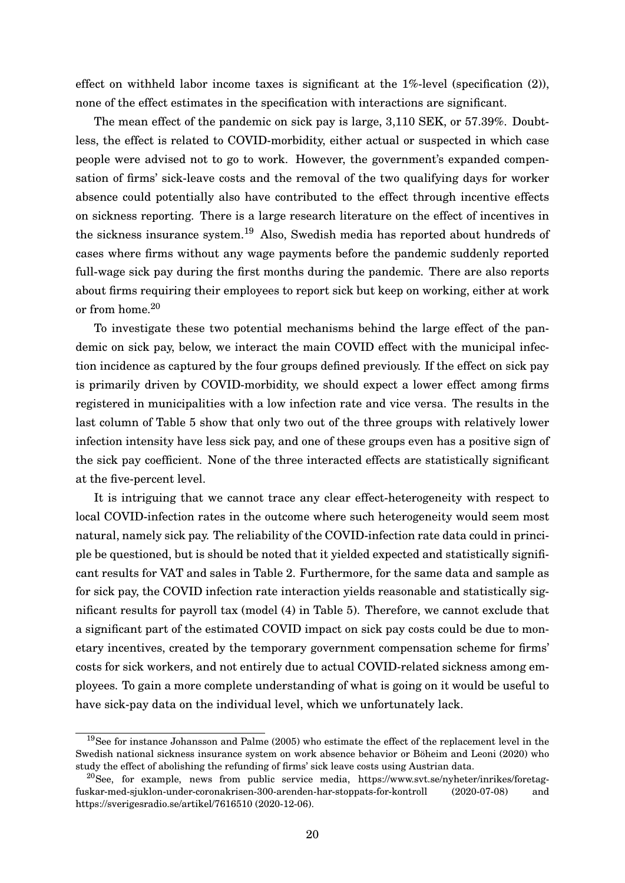effect on withheld labor income taxes is significant at the 1%-level (specification (2)), none of the effect estimates in the specification with interactions are significant.

The mean effect of the pandemic on sick pay is large, 3,110 SEK, or 57.39%. Doubtless, the effect is related to COVID-morbidity, either actual or suspected in which case people were advised not to go to work. However, the government's expanded compensation of firms' sick-leave costs and the removal of the two qualifying days for worker absence could potentially also have contributed to the effect through incentive effects on sickness reporting. There is a large research literature on the effect of incentives in the sickness insurance system.[19](#page-0-0) Also, Swedish media has reported about hundreds of cases where firms without any wage payments before the pandemic suddenly reported full-wage sick pay during the first months during the pandemic. There are also reports about firms requiring their employees to report sick but keep on working, either at work or from home.[20](#page-0-0)

To investigate these two potential mechanisms behind the large effect of the pandemic on sick pay, below, we interact the main COVID effect with the municipal infection incidence as captured by the four groups defined previously. If the effect on sick pay is primarily driven by COVID-morbidity, we should expect a lower effect among firms registered in municipalities with a low infection rate and vice versa. The results in the last column of Table [5](#page-21-0) show that only two out of the three groups with relatively lower infection intensity have less sick pay, and one of these groups even has a positive sign of the sick pay coefficient. None of the three interacted effects are statistically significant at the five-percent level.

It is intriguing that we cannot trace any clear effect-heterogeneity with respect to local COVID-infection rates in the outcome where such heterogeneity would seem most natural, namely sick pay. The reliability of the COVID-infection rate data could in principle be questioned, but is should be noted that it yielded expected and statistically significant results for VAT and sales in Table [2.](#page-13-0) Furthermore, for the same data and sample as for sick pay, the COVID infection rate interaction yields reasonable and statistically significant results for payroll tax (model (4) in Table [5\)](#page-21-0). Therefore, we cannot exclude that a significant part of the estimated COVID impact on sick pay costs could be due to monetary incentives, created by the temporary government compensation scheme for firms' costs for sick workers, and not entirely due to actual COVID-related sickness among employees. To gain a more complete understanding of what is going on it would be useful to have sick-pay data on the individual level, which we unfortunately lack.

<sup>19</sup>See for instance [Johansson and Palme](#page-23-5) [\(2005\)](#page-23-5) who estimate the effect of the replacement level in the Swedish national sickness insurance system on work absence behavior or [Böheim and Leoni](#page-23-7) [\(2020\)](#page-23-7) who study the effect of abolishing the refunding of firms' sick leave costs using Austrian data.

 $^{20}$ See, for example, news from public service media, https://www.svt.se/nyheter/inrikes/foretagfuskar-med-sjuklon-under-coronakrisen-300-arenden-har-stoppats-for-kontroll (2020-07-08) and https://sverigesradio.se/artikel/7616510 (2020-12-06).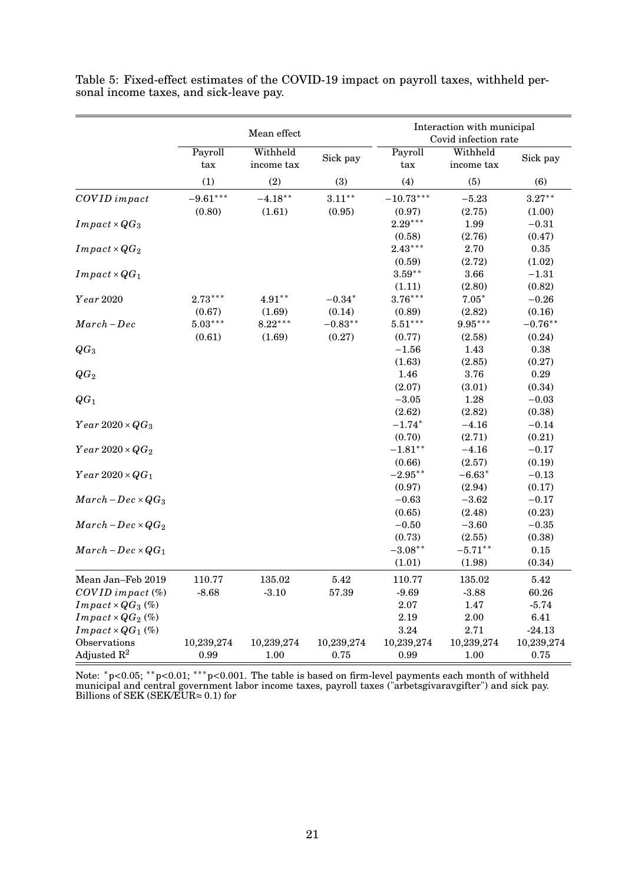|                                 | Mean effect                     |                        |            | Interaction with municipal<br>Covid infection rate |                        |            |
|---------------------------------|---------------------------------|------------------------|------------|----------------------------------------------------|------------------------|------------|
|                                 | Payroll<br>$\operatorname{tax}$ | Withheld<br>income tax | Sick pay   | Payroll<br>$\rm{tax}$                              | Withheld<br>income tax | Sick pay   |
|                                 | (1)                             | (2)                    | (3)        | (4)                                                | (5)                    | (6)        |
| COVID impact                    | $-9.61***$                      | $-4.18***$             | $3.11***$  | $-10.73***$                                        | $-5.23$                | $3.27***$  |
|                                 | (0.80)                          | (1.61)                 | (0.95)     | (0.97)                                             | (2.75)                 | (1.00)     |
| $Im\,pat \times QG_3$           |                                 |                        |            | $2.29***$                                          | 1.99                   | $-0.31$    |
|                                 |                                 |                        |            | (0.58)                                             | (2.76)                 | (0.47)     |
| $Im\,pat \times QG_2$           |                                 |                        |            | $2.43***$                                          | 2.70                   | 0.35       |
|                                 |                                 |                        |            | (0.59)                                             | (2.72)                 | (1.02)     |
| $Im\,pat \times QG_1$           |                                 |                        |            | $3.59***$                                          | 3.66                   | $-1.31$    |
|                                 |                                 |                        |            | (1.11)                                             | (2.80)                 | (0.82)     |
| Year 2020                       | $2.73***$                       | $4.91**$               | $-0.34*$   | $3.76***$                                          | $7.05*$                | $-0.26$    |
|                                 | (0.67)                          | (1.69)                 | (0.14)     | (0.89)                                             | (2.82)                 | (0.16)     |
| $March-Dec$                     | $5.03***$                       | $8.22***$              | $-0.83**$  | $5.51***$                                          | $9.95***$              | $-0.76**$  |
|                                 | (0.61)                          | (1.69)                 | (0.27)     | (0.77)                                             | (2.58)                 | (0.24)     |
| $QG_3$                          |                                 |                        |            | $-1.56$                                            | 1.43                   | $\rm 0.38$ |
|                                 |                                 |                        |            | (1.63)                                             | (2.85)                 | (0.27)     |
| $QG_2$                          |                                 |                        |            | 1.46                                               | 3.76                   | 0.29       |
|                                 |                                 |                        |            | (2.07)                                             | (3.01)                 | (0.34)     |
| $QG_1$                          |                                 |                        |            | $-3.05$                                            | 1.28                   | $-0.03$    |
|                                 |                                 |                        |            | (2.62)                                             | (2.82)                 | (0.38)     |
| $Year\,2020\times QG_3$         |                                 |                        |            | $-1.74*$                                           | $-4.16$                | $-0.14$    |
|                                 |                                 |                        |            | (0.70)                                             | (2.71)                 | (0.21)     |
| $Year\,2020\times QG_2$         |                                 |                        |            | $-1.81***$                                         | $-4.16$                | $-0.17$    |
|                                 |                                 |                        |            | (0.66)                                             | (2.57)                 | (0.19)     |
| $Year\,2020\times QG_1$         |                                 |                        |            | $-2.95**$                                          | $-6.63*$               | $-0.13$    |
|                                 |                                 |                        |            | (0.97)                                             | (2.94)                 | (0.17)     |
| $March - Dec \times QG_3$       |                                 |                        |            | $-0.63$                                            | $-3.62$                | $-0.17$    |
|                                 |                                 |                        |            | (0.65)                                             | (2.48)                 | (0.23)     |
| $March - Dec \times QG_2$       |                                 |                        |            | $-0.50$                                            | $-3.60$                | $-0.35$    |
|                                 |                                 |                        |            | (0.73)                                             | (2.55)                 | (0.38)     |
| $March-Dec \times QG_1$         |                                 |                        |            | $-3.08**$                                          | $-5.71***$             | $0.15\,$   |
|                                 |                                 |                        |            | (1.01)                                             | (1.98)                 | (0.34)     |
| Mean Jan-Feb 2019               | 110.77                          | 135.02                 | 5.42       | 110.77                                             | 135.02                 | 5.42       |
| $COVID$ impact $(\%)$           | $-8.68$                         | $-3.10$                | 57.39      | $-9.69$                                            | $-3.88$                | 60.26      |
| $Im \, pat \times QG_3 \, (\%)$ |                                 |                        |            | $2.07\,$                                           | 1.47                   | $-5.74$    |
| $Im\,pat \times QG_2$ (%)       |                                 |                        |            | 2.19                                               | $2.00\,$               | 6.41       |
| $Im\,pat \times QG_1$ (%)       |                                 |                        |            | $3.24\,$                                           | 2.71                   | $-24.13$   |
| Observations                    | 10,239,274                      | 10,239,274             | 10,239,274 | 10,239,274                                         | 10,239,274             | 10,239,274 |
| Adjusted $\mathbb{R}^2$         | 0.99                            | 1.00                   | 0.75       | 0.99                                               | 1.00                   | 0.75       |

<span id="page-21-0"></span>Table 5: Fixed-effect estimates of the COVID-19 impact on payroll taxes, withheld personal income taxes, and sick-leave pay.

Note: <sup>\*</sup>p<0.05; <sup>\*\*</sup>p<0.01; <sup>\*\*\*</sup>p<0.001. The table is based on firm-level payments each month of withheld municipal and central government labor income taxes, payroll taxes ("arbetsgivaravgifter") and sick pay. Billions of SEK (SEK/EUR≈ 0.1) for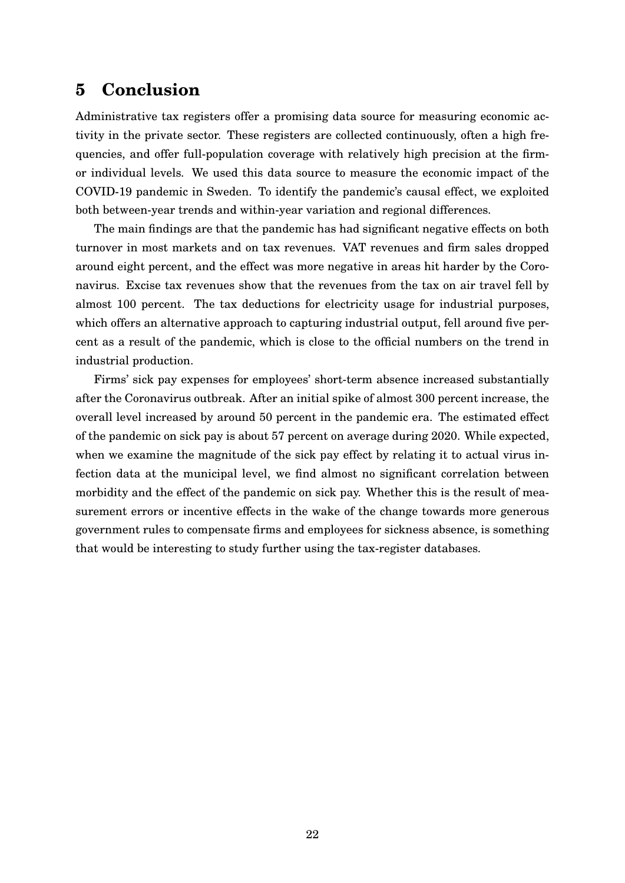## <span id="page-22-0"></span>**5 Conclusion**

Administrative tax registers offer a promising data source for measuring economic activity in the private sector. These registers are collected continuously, often a high frequencies, and offer full-population coverage with relatively high precision at the firmor individual levels. We used this data source to measure the economic impact of the COVID-19 pandemic in Sweden. To identify the pandemic's causal effect, we exploited both between-year trends and within-year variation and regional differences.

The main findings are that the pandemic has had significant negative effects on both turnover in most markets and on tax revenues. VAT revenues and firm sales dropped around eight percent, and the effect was more negative in areas hit harder by the Coronavirus. Excise tax revenues show that the revenues from the tax on air travel fell by almost 100 percent. The tax deductions for electricity usage for industrial purposes, which offers an alternative approach to capturing industrial output, fell around five percent as a result of the pandemic, which is close to the official numbers on the trend in industrial production.

Firms' sick pay expenses for employees' short-term absence increased substantially after the Coronavirus outbreak. After an initial spike of almost 300 percent increase, the overall level increased by around 50 percent in the pandemic era. The estimated effect of the pandemic on sick pay is about 57 percent on average during 2020. While expected, when we examine the magnitude of the sick pay effect by relating it to actual virus infection data at the municipal level, we find almost no significant correlation between morbidity and the effect of the pandemic on sick pay. Whether this is the result of measurement errors or incentive effects in the wake of the change towards more generous government rules to compensate firms and employees for sickness absence, is something that would be interesting to study further using the tax-register databases.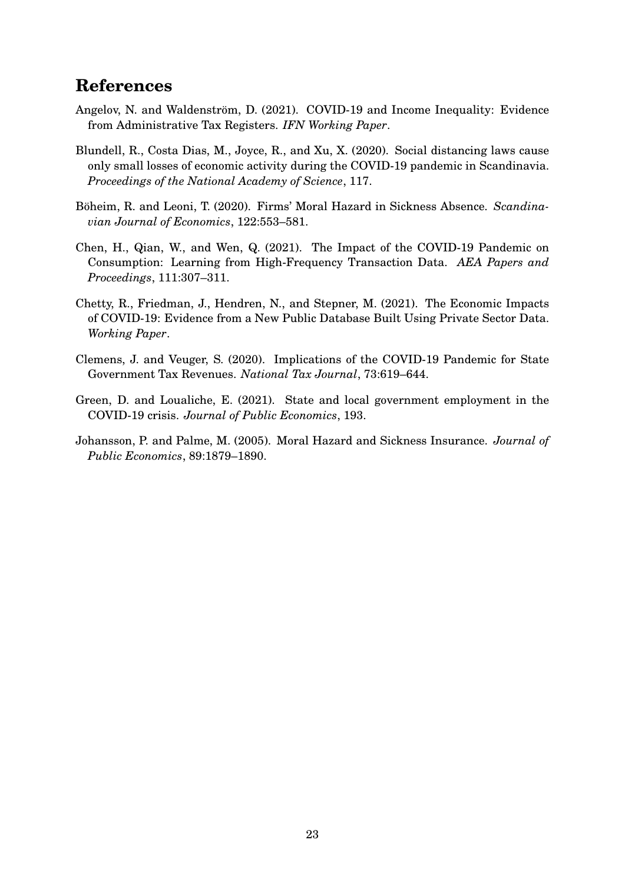## **References**

- <span id="page-23-6"></span>Angelov, N. and Waldenström, D. (2021). COVID-19 and Income Inequality: Evidence from Administrative Tax Registers. *IFN Working Paper*.
- <span id="page-23-0"></span>Blundell, R., Costa Dias, M., Joyce, R., and Xu, X. (2020). Social distancing laws cause only small losses of economic activity during the COVID-19 pandemic in Scandinavia. *Proceedings of the National Academy of Science*, 117.
- <span id="page-23-7"></span>Böheim, R. and Leoni, T. (2020). Firms' Moral Hazard in Sickness Absence. *Scandinavian Journal of Economics*, 122:553–581.
- <span id="page-23-2"></span>Chen, H., Qian, W., and Wen, Q. (2021). The Impact of the COVID-19 Pandemic on Consumption: Learning from High-Frequency Transaction Data. *AEA Papers and Proceedings*, 111:307–311.
- <span id="page-23-1"></span>Chetty, R., Friedman, J., Hendren, N., and Stepner, M. (2021). The Economic Impacts of COVID-19: Evidence from a New Public Database Built Using Private Sector Data. *Working Paper*.
- <span id="page-23-3"></span>Clemens, J. and Veuger, S. (2020). Implications of the COVID-19 Pandemic for State Government Tax Revenues. *National Tax Journal*, 73:619–644.
- <span id="page-23-4"></span>Green, D. and Loualiche, E. (2021). State and local government employment in the COVID-19 crisis. *Journal of Public Economics*, 193.
- <span id="page-23-5"></span>Johansson, P. and Palme, M. (2005). Moral Hazard and Sickness Insurance. *Journal of Public Economics*, 89:1879–1890.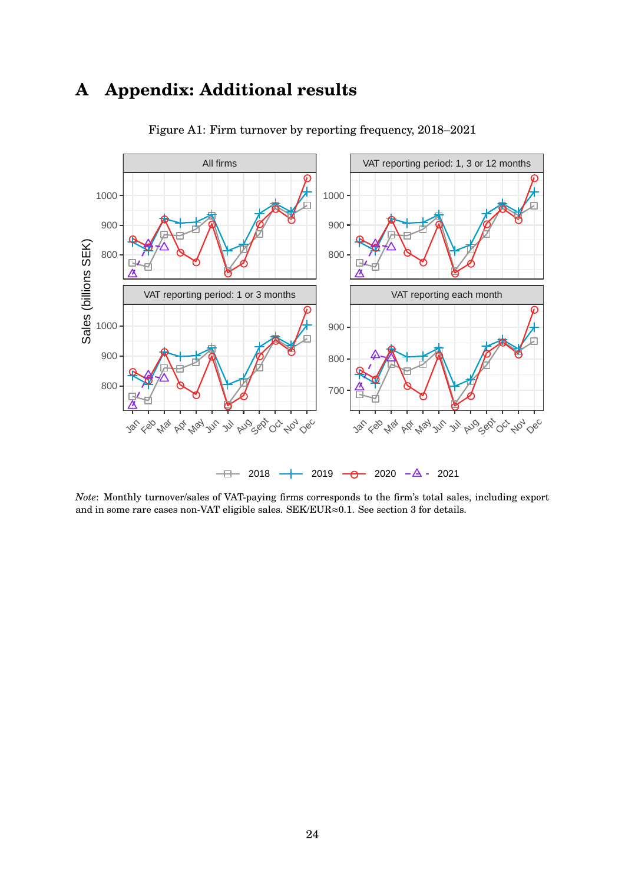## **A Appendix: Additional results**

<span id="page-24-0"></span>

Figure A1: Firm turnover by reporting frequency, 2018–2021

*Note*: Monthly turnover/sales of VAT-paying firms corresponds to the firm's total sales, including export and in some rare cases non-VAT eligible sales. SEK/EUR≈0.1. See section [3](#page-5-0) for details.